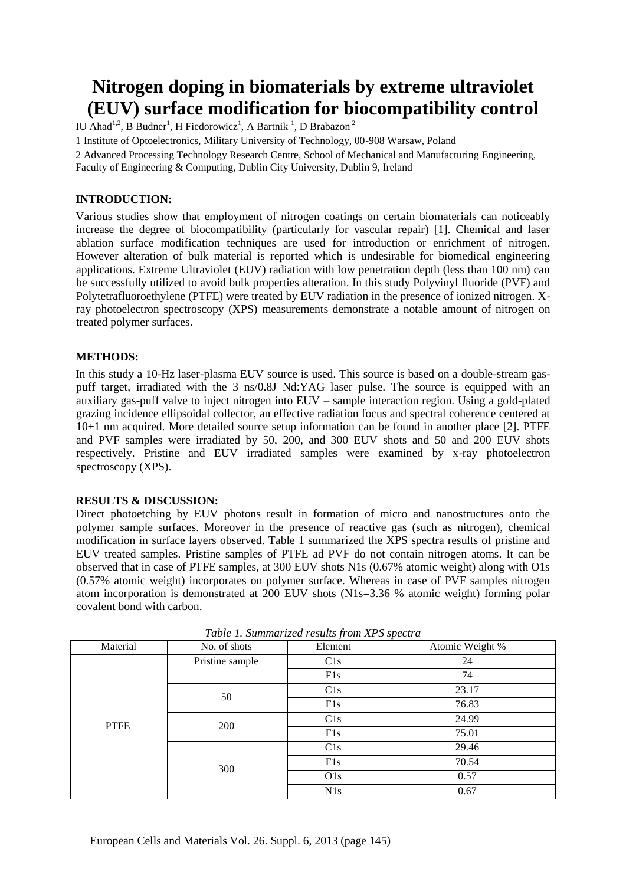# **Nitrogen doping in biomaterials by extreme ultraviolet (EUV) surface modification for biocompatibility control**

IU Ahad<sup>1,2</sup>, B Budner<sup>1</sup>, H Fiedorowicz<sup>1</sup>, A Bartnik<sup>1</sup>, D Brabazon<sup>2</sup>

1 Institute of Optoelectronics, Military University of Technology, 00-908 Warsaw, Poland

2 Advanced Processing Technology Research Centre, School of Mechanical and Manufacturing Engineering,

Faculty of Engineering & Computing, Dublin City University, Dublin 9, Ireland

## **INTRODUCTION:**

Various studies show that employment of nitrogen coatings on certain biomaterials can noticeably increase the degree of biocompatibility (particularly for vascular repair) [1]. Chemical and laser ablation surface modification techniques are used for introduction or enrichment of nitrogen. However alteration of bulk material is reported which is undesirable for biomedical engineering applications. Extreme Ultraviolet (EUV) radiation with low penetration depth (less than 100 nm) can be successfully utilized to avoid bulk properties alteration. In this study Polyvinyl fluoride (PVF) and Polytetrafluoroethylene (PTFE) were treated by EUV radiation in the presence of ionized nitrogen. Xray photoelectron spectroscopy (XPS) measurements demonstrate a notable amount of nitrogen on treated polymer surfaces.

## **METHODS:**

In this study a 10-Hz laser-plasma EUV source is used. This source is based on a double-stream gaspuff target, irradiated with the 3 ns/0.8J Nd:YAG laser pulse. The source is equipped with an auxiliary gas-puff valve to inject nitrogen into EUV – sample interaction region. Using a gold-plated grazing incidence ellipsoidal collector, an effective radiation focus and spectral coherence centered at  $10±1$  nm acquired. More detailed source setup information can be found in another place [2]. PTFE and PVF samples were irradiated by 50, 200, and 300 EUV shots and 50 and 200 EUV shots respectively. Pristine and EUV irradiated samples were examined by x-ray photoelectron spectroscopy (XPS).

#### **RESULTS & DISCUSSION:**

Direct photoetching by EUV photons result in formation of micro and nanostructures onto the polymer sample surfaces. Moreover in the presence of reactive gas (such as nitrogen), chemical modification in surface layers observed. Table 1 summarized the XPS spectra results of pristine and EUV treated samples. Pristine samples of PTFE ad PVF do not contain nitrogen atoms. It can be observed that in case of PTFE samples, at 300 EUV shots N1s (0.67% atomic weight) along with O1s (0.57% atomic weight) incorporates on polymer surface. Whereas in case of PVF samples nitrogen atom incorporation is demonstrated at 200 EUV shots (N1s=3.36 % atomic weight) forming polar covalent bond with carbon.

| Material    | No. of shots    | Element | Atomic Weight % |
|-------------|-----------------|---------|-----------------|
| <b>PTFE</b> | Pristine sample | C1s     | 24              |
|             |                 | F1s     | 74              |
|             | 50              | C1s     | 23.17           |
|             |                 | F1s     | 76.83           |
|             | 200             | C1s     | 24.99           |
|             |                 | F1s     | 75.01           |
|             | 300             | C1s     | 29.46           |
|             |                 | F1s     | 70.54           |
|             |                 | O1s     | 0.57            |
|             |                 | N1s     | 0.67            |

*Table 1. Summarized results from XPS spectra*